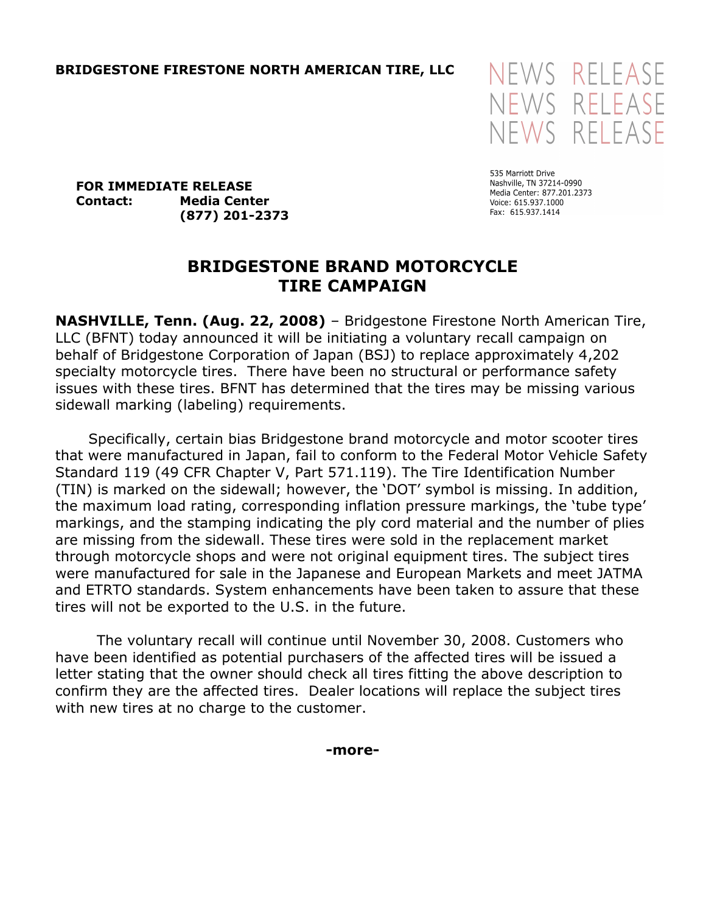

535 Marriott Drive Nashville, TN 37214-0990 Media Center: 877.201.2373 Voice: 615.937.1000 Fax: 615.937.1414

FOR IMMEDIATE RELEASE Contact: Media Center (877) 201-2373

## BRIDGESTONE BRAND MOTORCYCLE TIRE CAMPAIGN

NASHVILLE, Tenn. (Aug. 22, 2008) – Bridgestone Firestone North American Tire, LLC (BFNT) today announced it will be initiating a voluntary recall campaign on behalf of Bridgestone Corporation of Japan (BSJ) to replace approximately 4,202 specialty motorcycle tires. There have been no structural or performance safety issues with these tires. BFNT has determined that the tires may be missing various sidewall marking (labeling) requirements.

 Specifically, certain bias Bridgestone brand motorcycle and motor scooter tires that were manufactured in Japan, fail to conform to the Federal Motor Vehicle Safety Standard 119 (49 CFR Chapter V, Part 571.119). The Tire Identification Number (TIN) is marked on the sidewall; however, the 'DOT' symbol is missing. In addition, the maximum load rating, corresponding inflation pressure markings, the 'tube type' markings, and the stamping indicating the ply cord material and the number of plies are missing from the sidewall. These tires were sold in the replacement market through motorcycle shops and were not original equipment tires. The subject tires were manufactured for sale in the Japanese and European Markets and meet JATMA and ETRTO standards. System enhancements have been taken to assure that these tires will not be exported to the U.S. in the future.

The voluntary recall will continue until November 30, 2008. Customers who have been identified as potential purchasers of the affected tires will be issued a letter stating that the owner should check all tires fitting the above description to confirm they are the affected tires. Dealer locations will replace the subject tires with new tires at no charge to the customer.

-more-